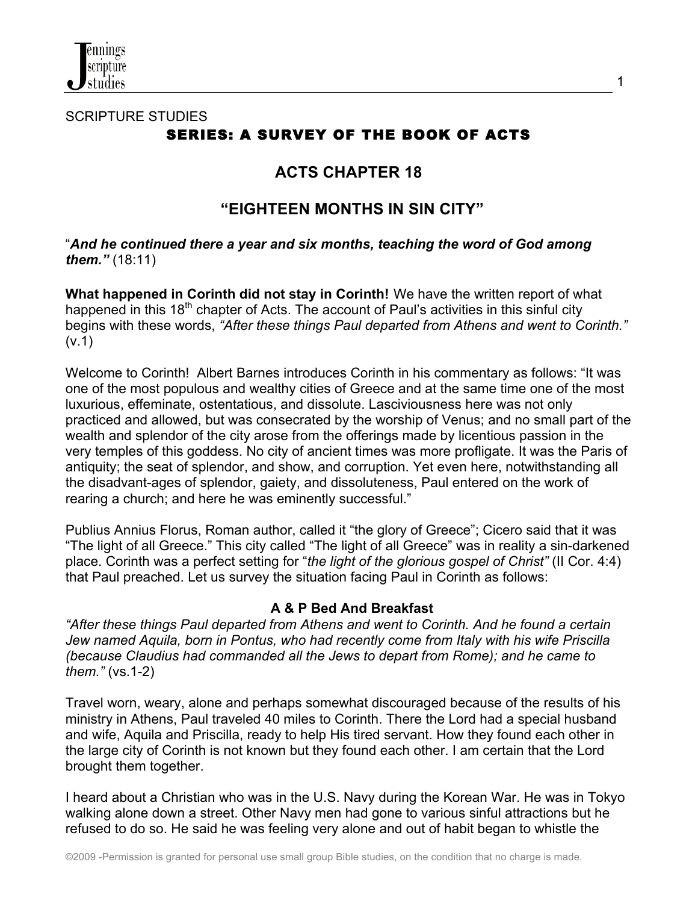

# SCRIPTURE STUDIES SERIES: A SURVEY OF THE BOOK OF ACTS

# **ACTS CHAPTER 18**

# **"EIGHTEEN MONTHS IN SIN CITY"**

## "*And he continued there a year and six months, teaching the word of God among them."* (18:11)

**What happened in Corinth did not stay in Corinth!** We have the written report of what happened in this 18<sup>th</sup> chapter of Acts. The account of Paul's activities in this sinful city begins with these words, *"After these things Paul departed from Athens and went to Corinth."* (v.1)

Welcome to Corinth! Albert Barnes introduces Corinth in his commentary as follows: "It was one of the most populous and wealthy cities of Greece and at the same time one of the most luxurious, effeminate, ostentatious, and dissolute. Lasciviousness here was not only practiced and allowed, but was consecrated by the worship of Venus; and no small part of the wealth and splendor of the city arose from the offerings made by licentious passion in the very temples of this goddess. No city of ancient times was more profligate. It was the Paris of antiquity; the seat of splendor, and show, and corruption. Yet even here, notwithstanding all the disadvant-ages of splendor, gaiety, and dissoluteness, Paul entered on the work of rearing a church; and here he was eminently successful."

Publius Annius Florus, Roman author, called it "the glory of Greece"; Cicero said that it was "The light of all Greece." This city called "The light of all Greece" was in reality a sin-darkened place. Corinth was a perfect setting for "*the light of the glorious gospel of Christ"* (II Cor. 4:4) that Paul preached. Let us survey the situation facing Paul in Corinth as follows:

# **A & P Bed And Breakfast**

*"After these things Paul departed from Athens and went to Corinth. And he found a certain Jew named Aquila, born in Pontus, who had recently come from Italy with his wife Priscilla (because Claudius had commanded all the Jews to depart from Rome); and he came to them."* (vs.1-2)

Travel worn, weary, alone and perhaps somewhat discouraged because of the results of his ministry in Athens, Paul traveled 40 miles to Corinth. There the Lord had a special husband and wife, Aquila and Priscilla, ready to help His tired servant. How they found each other in the large city of Corinth is not known but they found each other. I am certain that the Lord brought them together.

I heard about a Christian who was in the U.S. Navy during the Korean War. He was in Tokyo walking alone down a street. Other Navy men had gone to various sinful attractions but he refused to do so. He said he was feeling very alone and out of habit began to whistle the

1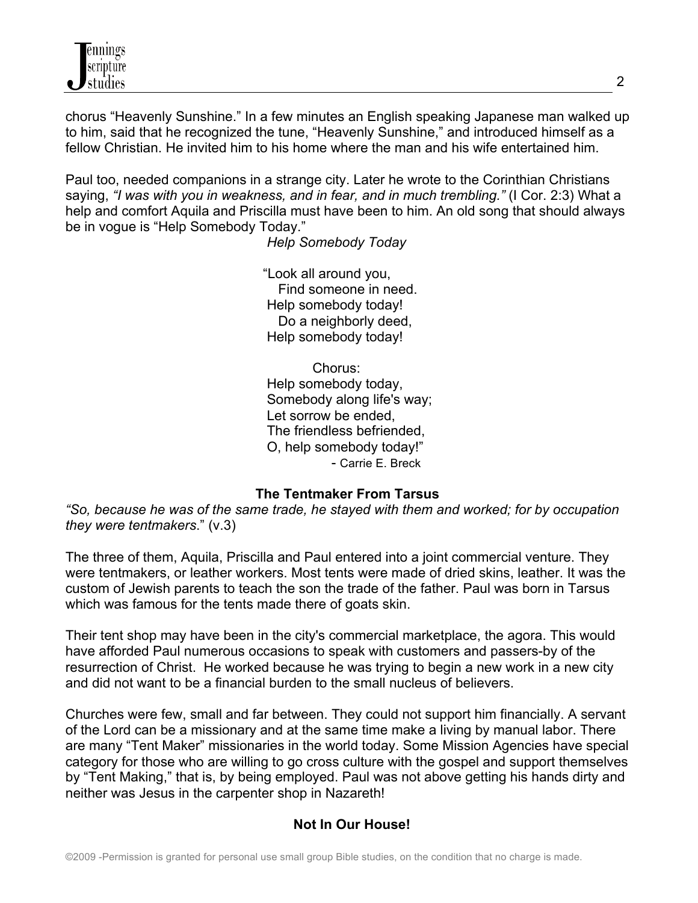chorus "Heavenly Sunshine." In a few minutes an English speaking Japanese man walked up to him, said that he recognized the tune, "Heavenly Sunshine," and introduced himself as a fellow Christian. He invited him to his home where the man and his wife entertained him.

Paul too, needed companions in a strange city. Later he wrote to the Corinthian Christians saying, *"I was with you in weakness, and in fear, and in much trembling."* (I Cor. 2:3) What a help and comfort Aquila and Priscilla must have been to him. An old song that should always be in vogue is "Help Somebody Today."

*Help Somebody Today*

 "Look all around you, Find someone in need. Help somebody today! Do a neighborly deed. Help somebody today!

 Chorus: Help somebody today, Somebody along life's way; Let sorrow be ended, The friendless befriended, O, help somebody today!" - Carrie E. Breck

# **The Tentmaker From Tarsus**

*"So, because he was of the same trade, he stayed with them and worked; for by occupation they were tentmakers*." (v.3)

The three of them, Aquila, Priscilla and Paul entered into a joint commercial venture. They were tentmakers, or leather workers. Most tents were made of dried skins, leather. It was the custom of Jewish parents to teach the son the trade of the father. Paul was born in Tarsus which was famous for the tents made there of goats skin.

Their tent shop may have been in the city's commercial marketplace, the agora. This would have afforded Paul numerous occasions to speak with customers and passers-by of the resurrection of Christ. He worked because he was trying to begin a new work in a new city and did not want to be a financial burden to the small nucleus of believers.

Churches were few, small and far between. They could not support him financially. A servant of the Lord can be a missionary and at the same time make a living by manual labor. There are many "Tent Maker" missionaries in the world today. Some Mission Agencies have special category for those who are willing to go cross culture with the gospel and support themselves by "Tent Making," that is, by being employed. Paul was not above getting his hands dirty and neither was Jesus in the carpenter shop in Nazareth!

# **Not In Our House!**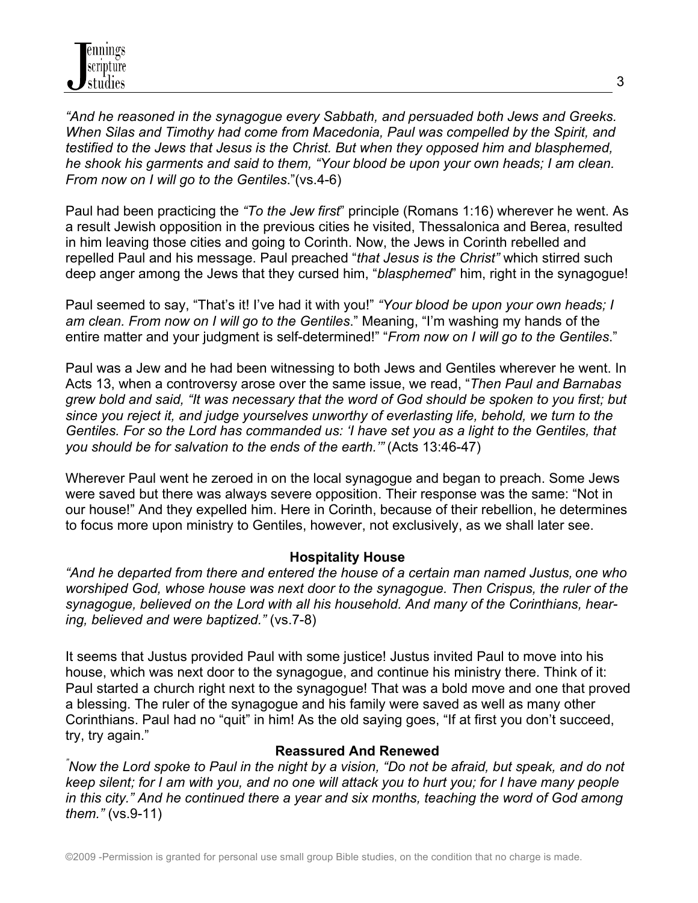*"And he reasoned in the synagogue every Sabbath, and persuaded both Jews and Greeks. When Silas and Timothy had come from Macedonia, Paul was compelled by the Spirit, and testified to the Jews that Jesus is the Christ. But when they opposed him and blasphemed, he shook his garments and said to them, "Your blood be upon your own heads; I am clean. From now on I will go to the Gentiles*."(vs.4-6)

Paul had been practicing the *"To the Jew first*" principle (Romans 1:16) wherever he went. As a result Jewish opposition in the previous cities he visited, Thessalonica and Berea, resulted in him leaving those cities and going to Corinth. Now, the Jews in Corinth rebelled and repelled Paul and his message. Paul preached "*that Jesus is the Christ"* which stirred such deep anger among the Jews that they cursed him, "*blasphemed*" him, right in the synagogue!

Paul seemed to say, "That's it! I've had it with you!" *"Your blood be upon your own heads; I am clean. From now on I will go to the Gentiles*." Meaning, "I'm washing my hands of the entire matter and your judgment is self-determined!" "*From now on I will go to the Gentiles*."

Paul was a Jew and he had been witnessing to both Jews and Gentiles wherever he went. In Acts 13, when a controversy arose over the same issue, we read, "*Then Paul and Barnabas grew bold and said, "It was necessary that the word of God should be spoken to you first; but since you reject it, and judge yourselves unworthy of everlasting life, behold, we turn to the Gentiles. For so the Lord has commanded us: 'I have set you as a light to the Gentiles, that you should be for salvation to the ends of the earth.'"* (Acts 13:46-47)

Wherever Paul went he zeroed in on the local synagogue and began to preach. Some Jews were saved but there was always severe opposition. Their response was the same: "Not in our house!" And they expelled him. Here in Corinth, because of their rebellion, he determines to focus more upon ministry to Gentiles, however, not exclusively, as we shall later see.

# **Hospitality House**

*"And he departed from there and entered the house of a certain man named Justus, one who worshiped God, whose house was next door to the synagogue. Then Crispus, the ruler of the synagogue, believed on the Lord with all his household. And many of the Corinthians, hearing, believed and were baptized."* (vs.7-8)

It seems that Justus provided Paul with some justice! Justus invited Paul to move into his house, which was next door to the synagogue, and continue his ministry there. Think of it: Paul started a church right next to the synagogue! That was a bold move and one that proved a blessing. The ruler of the synagogue and his family were saved as well as many other Corinthians. Paul had no "quit" in him! As the old saying goes, "If at first you don't succeed, try, try again."

**Reassured And Renewed<br>
<sup>"</sup>Now the Lord spoke to Paul in the night by a vision, "Do not be afraid, but speak, and do not** *keep silent; for I am with you, and no one will attack you to hurt you; for I have many people in this city." And he continued there a year and six months, teaching the word of God among them."* (vs.9-11)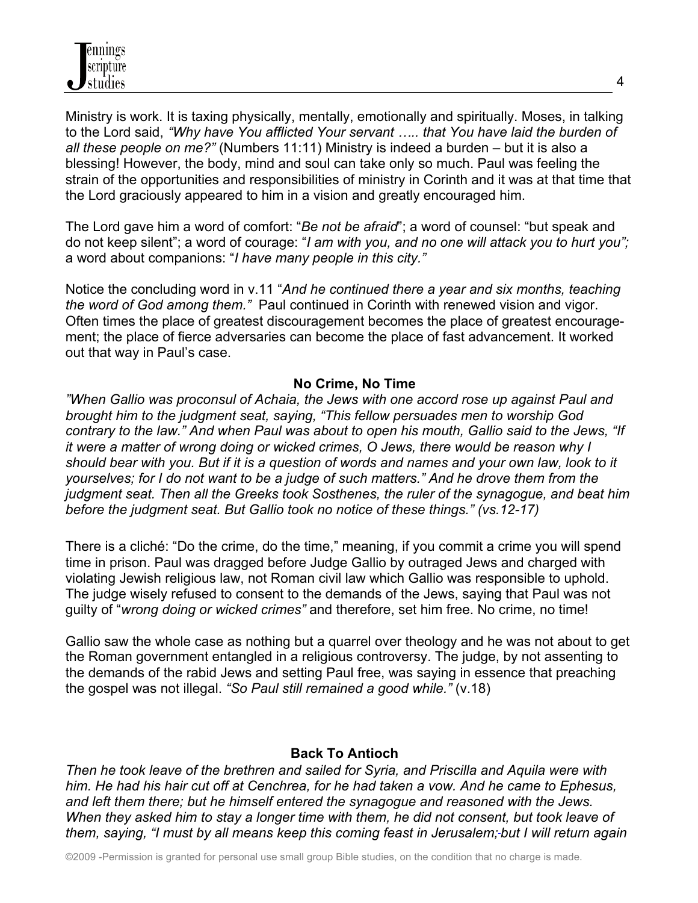Ministry is work. It is taxing physically, mentally, emotionally and spiritually. Moses, in talking to the Lord said, *"Why have You afflicted Your servant ….. that You have laid the burden of all these people on me?"* (Numbers 11:11) Ministry is indeed a burden – but it is also a blessing! However, the body, mind and soul can take only so much. Paul was feeling the strain of the opportunities and responsibilities of ministry in Corinth and it was at that time that the Lord graciously appeared to him in a vision and greatly encouraged him.

The Lord gave him a word of comfort: "*Be not be afraid*"; a word of counsel: "but speak and do not keep silent"; a word of courage: "*I am with you, and no one will attack you to hurt you";* a word about companions: "*I have many people in this city."*

Notice the concluding word in v.11 "*And he continued there a year and six months, teaching the word of God among them."* Paul continued in Corinth with renewed vision and vigor. Often times the place of greatest discouragement becomes the place of greatest encouragement; the place of fierce adversaries can become the place of fast advancement. It worked out that way in Paul's case.

### **No Crime, No Time**

*"When Gallio was proconsul of Achaia, the Jews with one accord rose up against Paul and brought him to the judgment seat, saying, "This fellow persuades men to worship God contrary to the law." And when Paul was about to open his mouth, Gallio said to the Jews, "If it were a matter of wrong doing or wicked crimes, O Jews, there would be reason why I should bear with you. But if it is a question of words and names and your own law, look to it yourselves; for I do not want to be a judge of such matters." And he drove them from the judgment seat. Then all the Greeks took Sosthenes, the ruler of the synagogue, and beat him before the judgment seat. But Gallio took no notice of these things." (vs.12-17)*

There is a cliché: "Do the crime, do the time," meaning, if you commit a crime you will spend time in prison. Paul was dragged before Judge Gallio by outraged Jews and charged with violating Jewish religious law, not Roman civil law which Gallio was responsible to uphold. The judge wisely refused to consent to the demands of the Jews, saying that Paul was not guilty of "*wrong doing or wicked crimes"* and therefore, set him free. No crime, no time!

Gallio saw the whole case as nothing but a quarrel over theology and he was not about to get the Roman government entangled in a religious controversy. The judge, by not assenting to the demands of the rabid Jews and setting Paul free, was saying in essence that preaching the gospel was not illegal. *"So Paul still remained a good while."* (v.18)

### **Back To Antioch**

*Then he took leave of the brethren and sailed for Syria, and Priscilla and Aquila were with him. He had his hair cut off at Cenchrea, for he had taken a vow. And he came to Ephesus, and left them there; but he himself entered the synagogue and reasoned with the Jews. When they asked him to stay a longer time with them, he did not consent, but took leave of them, saying, "I must by all means keep this coming feast in Jerusalem; but I will return again*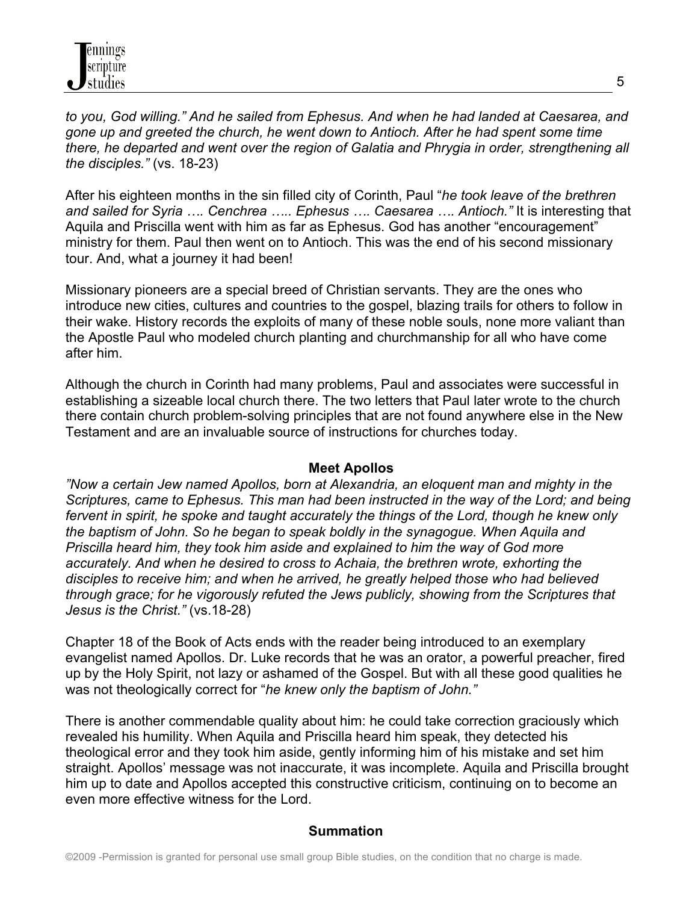*to you, God willing." And he sailed from Ephesus. And when he had landed at Caesarea, and gone up and greeted the church, he went down to Antioch. After he had spent some time there, he departed and went over the region of Galatia and Phrygia in order, strengthening all the disciples."* (vs. 18-23)

After his eighteen months in the sin filled city of Corinth, Paul "*he took leave of the brethren and sailed for Syria …. Cenchrea ….. Ephesus …. Caesarea …. Antioch."* It is interesting that Aquila and Priscilla went with him as far as Ephesus. God has another "encouragement" ministry for them. Paul then went on to Antioch. This was the end of his second missionary tour. And, what a journey it had been!

Missionary pioneers are a special breed of Christian servants. They are the ones who introduce new cities, cultures and countries to the gospel, blazing trails for others to follow in their wake. History records the exploits of many of these noble souls, none more valiant than the Apostle Paul who modeled church planting and churchmanship for all who have come after him.

Although the church in Corinth had many problems, Paul and associates were successful in establishing a sizeable local church there. The two letters that Paul later wrote to the church there contain church problem-solving principles that are not found anywhere else in the New Testament and are an invaluable source of instructions for churches today.

### **Meet Apollos**

*"Now a certain Jew named Apollos, born at Alexandria, an eloquent man and mighty in the Scriptures, came to Ephesus. This man had been instructed in the way of the Lord; and being fervent in spirit, he spoke and taught accurately the things of the Lord, though he knew only the baptism of John. So he began to speak boldly in the synagogue. When Aquila and Priscilla heard him, they took him aside and explained to him the way of God more accurately. And when he desired to cross to Achaia, the brethren wrote, exhorting the disciples to receive him; and when he arrived, he greatly helped those who had believed through grace; for he vigorously refuted the Jews publicly, showing from the Scriptures that Jesus is the Christ."* (vs.18-28)

Chapter 18 of the Book of Acts ends with the reader being introduced to an exemplary evangelist named Apollos. Dr. Luke records that he was an orator, a powerful preacher, fired up by the Holy Spirit, not lazy or ashamed of the Gospel. But with all these good qualities he was not theologically correct for "*he knew only the baptism of John."* 

There is another commendable quality about him: he could take correction graciously which revealed his humility. When Aquila and Priscilla heard him speak, they detected his theological error and they took him aside, gently informing him of his mistake and set him straight. Apollos' message was not inaccurate, it was incomplete. Aquila and Priscilla brought him up to date and Apollos accepted this constructive criticism, continuing on to become an even more effective witness for the Lord.

### **Summation**